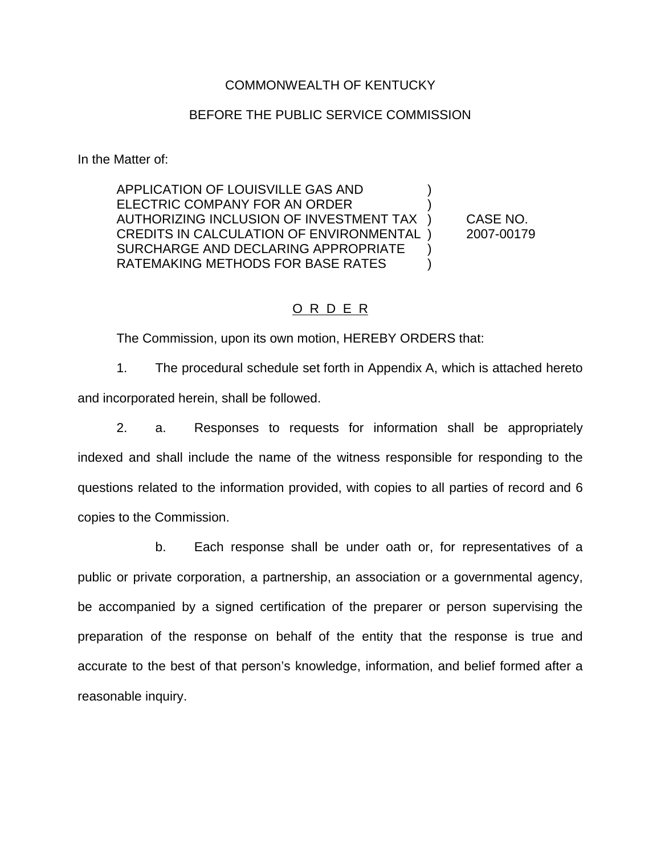#### COMMONWEALTH OF KENTUCKY

#### BEFORE THE PUBLIC SERVICE COMMISSION

In the Matter of:

APPLICATION OF LOUISVILLE GAS AND ) ELECTRIC COMPANY FOR AN ORDER AUTHORIZING INCLUSION OF INVESTMENT TAX ) CASE NO. CREDITS IN CALCULATION OF ENVIRONMENTAL ) 2007-00179 SURCHARGE AND DECLARING APPROPRIATE ) RATEMAKING METHODS FOR BASE RATES  $\qquad)$ 

### O R D E R

The Commission, upon its own motion, HEREBY ORDERS that:

1. The procedural schedule set forth in Appendix A, which is attached hereto and incorporated herein, shall be followed.

2. a. Responses to requests for information shall be appropriately indexed and shall include the name of the witness responsible for responding to the questions related to the information provided, with copies to all parties of record and 6 copies to the Commission.

b. Each response shall be under oath or, for representatives of a public or private corporation, a partnership, an association or a governmental agency, be accompanied by a signed certification of the preparer or person supervising the preparation of the response on behalf of the entity that the response is true and accurate to the best of that person's knowledge, information, and belief formed after a reasonable inquiry.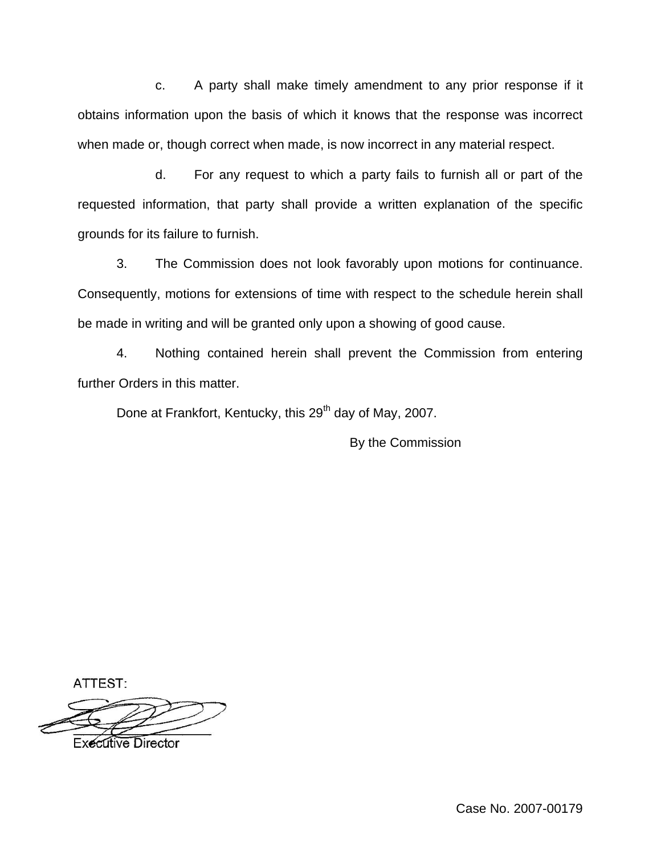c. A party shall make timely amendment to any prior response if it obtains information upon the basis of which it knows that the response was incorrect when made or, though correct when made, is now incorrect in any material respect.

d. For any request to which a party fails to furnish all or part of the requested information, that party shall provide a written explanation of the specific grounds for its failure to furnish.

3. The Commission does not look favorably upon motions for continuance. Consequently, motions for extensions of time with respect to the schedule herein shall be made in writing and will be granted only upon a showing of good cause.

4. Nothing contained herein shall prevent the Commission from entering further Orders in this matter.

Done at Frankfort, Kentucky, this 29<sup>th</sup> day of May, 2007.

By the Commission

ATTEST:

**Executive Director** 

Case No. 2007-00179